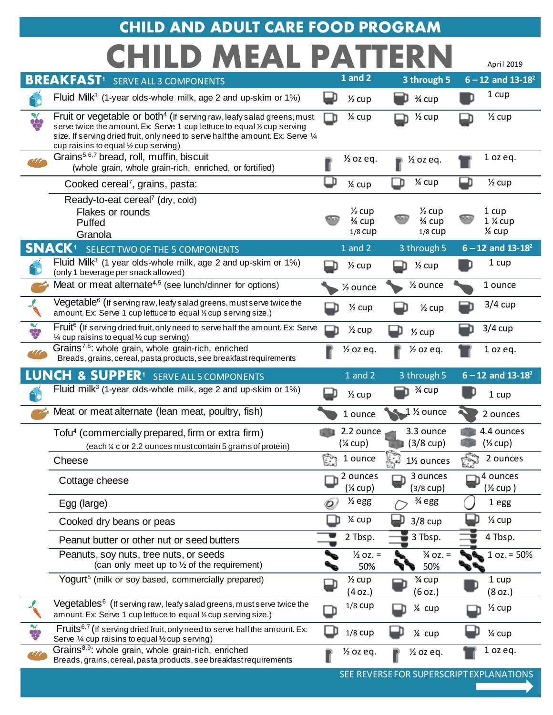## **CHILD MEAL PATTERN CHILD AND ADULT CARE FOOD PROGRAM**

|               |                                                                                                                                                                                                                                                                                           |     |                                 |                                 | April 2019                   |
|---------------|-------------------------------------------------------------------------------------------------------------------------------------------------------------------------------------------------------------------------------------------------------------------------------------------|-----|---------------------------------|---------------------------------|------------------------------|
|               | <b>BREAKFAST</b> <sup>1</sup> SERVE ALL 3 COMPONENTS                                                                                                                                                                                                                                      |     | 1 and 2                         | 3 through 5                     | $6 - 12$ and $13 - 18^2$     |
| <u>Sc</u>     | Fluid Milk <sup>3</sup> (1-year olds-whole milk, age 2 and up-skim or $1\%$ )                                                                                                                                                                                                             |     | $\frac{1}{2}$ cup               | 3⁄4 cup                         | 1 cup                        |
| X             | Fruit or vegetable or both <sup>4</sup> (If serving raw, leafy salad greens, must<br>serve twice the amount. Ex: Serve 1 cup lettuce to equal 1/2 cup serving<br>size. If serving dried fruit, only need to serve half the amount. Ex: Serve 1/4<br>cup raisins to equal 1/2 cup serving) |     | 1⁄4 cup                         | $\frac{1}{2}$ cup               | $\frac{1}{2}$ cup            |
| $\pi$         | Grains <sup>5,6,7</sup> bread, roll, muffin, biscuit<br>(whole grain, whole grain-rich, enriched, or fortified)                                                                                                                                                                           |     | $\frac{1}{2}$ oz eq.            | $\frac{1}{2}$ oz eq.            | $1$ oz eq.                   |
|               | Cooked cereal <sup>7</sup> , grains, pasta:                                                                                                                                                                                                                                               | _ D | 1⁄4 cup                         | 1⁄4 cup                         | $\frac{1}{2}$ cup            |
|               | Ready-to-eat cereal <sup>7</sup> (dry, cold)                                                                                                                                                                                                                                              |     |                                 |                                 |                              |
|               | Flakes or rounds                                                                                                                                                                                                                                                                          |     | $\frac{1}{2}$ cup               | $\frac{1}{2}$ cup               | 1 cup                        |
|               | Puffed<br>Granola                                                                                                                                                                                                                                                                         |     | 3⁄4 cup<br>1/8 CUP              | 3⁄4 cup<br>$1/8$ CUP            | $1\%$ cup<br>1⁄4 cup         |
|               | <b>SNACK</b> <sup>1</sup> SELECT TWO OF THE 5 COMPONENTS                                                                                                                                                                                                                                  |     | 1 and 2                         | 3 through 5                     | $6 - 12$ and $13 - 18^2$     |
|               | Fluid Mil $k^3$ (1 year olds-whole milk, age 2 and up-skim or 1%)                                                                                                                                                                                                                         |     | $\frac{1}{2}$ cup               | $\frac{1}{2}$ cup               | 1 cup                        |
| ĴÓ            | (only 1 beverage per snack allowed)<br>Meat or meat alternate <sup>4,5</sup> (see lunch/dinner for options)                                                                                                                                                                               |     |                                 | 1/ <sub>2</sub> ounce           |                              |
|               |                                                                                                                                                                                                                                                                                           |     | 1/ <sub>2</sub> ounce           |                                 | 1 ounce                      |
|               | $V$ egetable $6$ (If serving raw, leafy salad greens, must serve twice the<br>amount. Ex: Serve 1 cup lettuce to equal % cup serving size.)                                                                                                                                               |     | $\frac{1}{2}$ cup               | $\frac{1}{2}$ cup               | $3/4$ cup                    |
| <b>VALUE</b>  | Fruit <sup>6</sup> (If serving dried fruit, only need to serve half the amount. Ex: Serve<br>1⁄4 cup raisins to equal 1⁄2 cup serving)                                                                                                                                                    |     | $\frac{1}{2}$ cup               | $\frac{1}{2}$ cup               | $3/4$ cup                    |
| $\mathscr{U}$ | Grains <sup>7,8</sup> : whole grain, whole grain-rich, enriched<br>Breads, grains, cereal, pasta products, see breakfast requirements                                                                                                                                                     |     | $\frac{1}{2}$ oz eq.            | $\frac{1}{2}$ oz eq.            | 1 oz eq.                     |
|               | <b>LUNCH &amp; SUPPER<sup>1</sup> SERVE ALL 5 COMPONENTS</b>                                                                                                                                                                                                                              |     | 1 and 2                         | 3 through 5                     | $6 - 12$ and $13 - 18^2$     |
| <b>Sp</b>     | Fluid milk <sup>3</sup> (1-year olds-whole milk, age 2 and up-skim or $1\%$ )                                                                                                                                                                                                             |     | $\frac{1}{2}$ cup               | 3⁄4 cup                         | 1 cup                        |
|               | Meat or meat alternate (lean meat, poultry, fish)                                                                                                                                                                                                                                         |     | 1 ounce                         | $1$ % ounce                     | 2 ounces                     |
|               | Tofu <sup>4</sup> (commercially prepared, firm or extra firm)                                                                                                                                                                                                                             |     | 2.2 ounce                       | 3.3 ounce                       | 4.4 ounces                   |
|               | (each ¼ c or 2.2 ounces must contain 5 grams of protein)                                                                                                                                                                                                                                  |     | $(\frac{1}{4}$ cup)             | $(3/8$ cup)                     | $(\frac{1}{2}cup)$           |
|               | Cheese                                                                                                                                                                                                                                                                                    | C.  | 1 ounce                         | 11/ <sub>2</sub> ounces         | ನಿ<br>2 ounces               |
|               | Cottage cheese                                                                                                                                                                                                                                                                            |     | 2 ounces<br>$(\frac{1}{4}$ cup) | 3 ounces<br>$(3/8 \text{ cup})$ | 4 ounces<br>(½ cup )         |
|               | Egg (large)                                                                                                                                                                                                                                                                               | Ó   | $\frac{1}{2}$ egg               | 3⁄4 egg                         | 1 egg                        |
|               | Cooked dry beans or peas                                                                                                                                                                                                                                                                  |     | 1⁄4 cup                         | $3/8$ cup                       | $\frac{1}{2}$ cup            |
|               | Peanut butter or other nut or seed butters                                                                                                                                                                                                                                                |     | 2 Tbsp.                         | 3 Tbsp.                         | 4 Tbsp.                      |
|               | Peanuts, soy nuts, tree nuts, or seeds<br>(can only meet up to 1/2 of the requirement)                                                                                                                                                                                                    |     | $\frac{1}{2}$ oz. =<br>50%      | $\frac{3}{4}$ OZ. =<br>50%      | $1 oz. = 50%$                |
|               | Yogurt <sup>5</sup> (milk or soy based, commercially prepared)                                                                                                                                                                                                                            |     | $\frac{1}{2}$ cup<br>(4 oz.)    | 3⁄4 cup<br>(6 oz.)              | 1 cup<br>(8 <sub>oz.</sub> ) |
|               | Vegetables <sup>6</sup> (If serving raw, leafy salad greens, must serve twice the<br>amount. Ex: Serve 1 cup lettuce to equal % cup serving size.)                                                                                                                                        |     | $1/8$ CUP                       | 1⁄4 cup                         | $\frac{1}{2}$ cup            |
| <b>V</b>      | Fruits <sup>6,7</sup> (If serving dried fruit, only need to serve half the amount. Ex:<br>Serve 1/4 cup raisins to equal 1/2 cup serving)                                                                                                                                                 |     | $1/8$ CUP                       | 1⁄4 cup                         | 1⁄4 cup                      |
| 777           | Grains <sup>8,9</sup> : whole grain, whole grain-rich, enriched<br>Breads, grains, cereal, pasta products, see breakfast requirements                                                                                                                                                     |     | $\frac{1}{2}$ oz eq.            | $\frac{1}{2}$ oz eq.            | $1$ oz eq.                   |